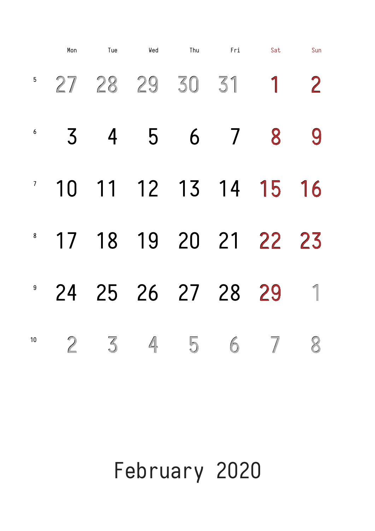## February 2020

 $27$  28 29 30 31 1 2  $\frac{1}{3}$  4 5 6 7 8 9 <sup>7</sup> 10 11 12 13 14 15 16 <sup>8</sup> 17 18 19 20 21 22 23 Mon Tue Wed Thu Fri Sat Sun

#### 24 25 26 27 28 29 2    3    4    5    6    7    8 9 10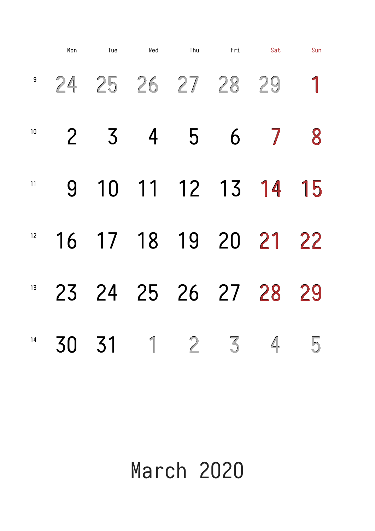### March 2020

<sup>9</sup> 24 25 26 27 28 29 1     3    4    5    6    7    8      10   11   12   13   14   15      17   18   19   20   21   22 Mon Tue Wed Thu Fri Sat Sun 

#### 24   25   26   27   28   29    31    1    2    3    4    5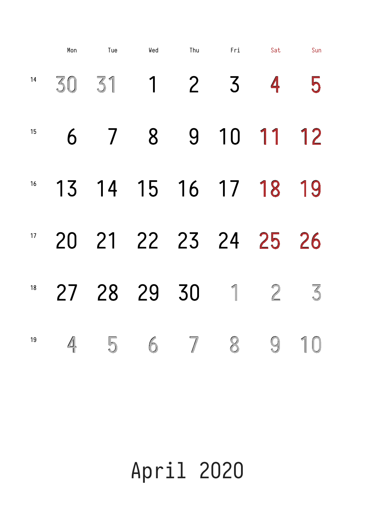April 2020

<sup>14</sup> 30 31 1 2 3 4 5     7    8    9   10   11   12 <sup>16</sup> 13 14 15 16 17 18 19    21   22   23   24   25   26   Mon Tue Wed Thu Fri Sat Sun 

#### 28   29   30    1    2    3     5    6    7    8    9   10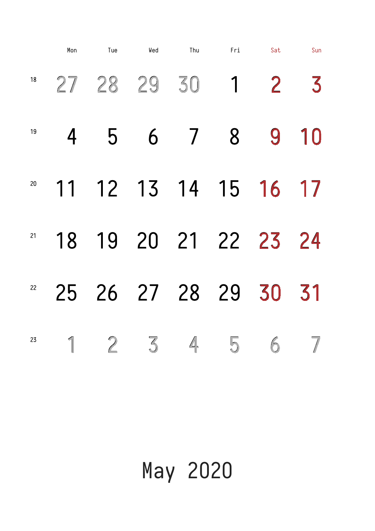# May 2020

   28   29   30    1    2    3        5    6    7    8    9   10    12   13   14   15   16   17    19   20   21   22   23   24 Mon Tue Wed Thu Fri Sat Sun 

#### 26   27   28   29   30   31     2    3    4    5    6    7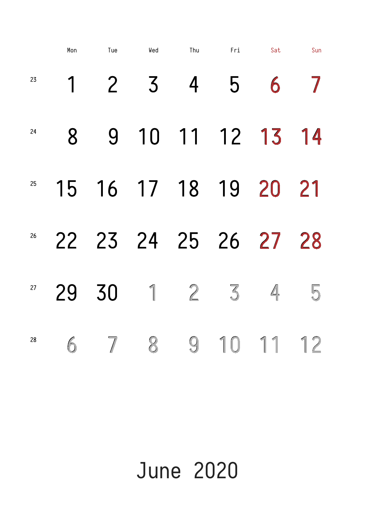### June 2020

1 2 3 4 5 6 7     9   10   11   12   13   14    16   17   18   19   20   21    23   24   25   26   27   28 Mon Tue Wed Thu Fri Sat Sun 

#### 30    1    2    3    4    5     7    8    9   10   11   12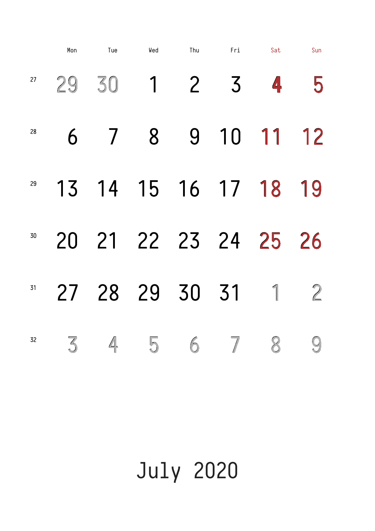July 2020

   30    1    2   3   **4**   5       7    8    9   10   11   12    14   15   16   17   18   19      21   22   23   24   25   26   Mon Tue Wed Thu Fri Sat Sun 

#### 28   29   30   31    1    2     4    5    6    7    8    9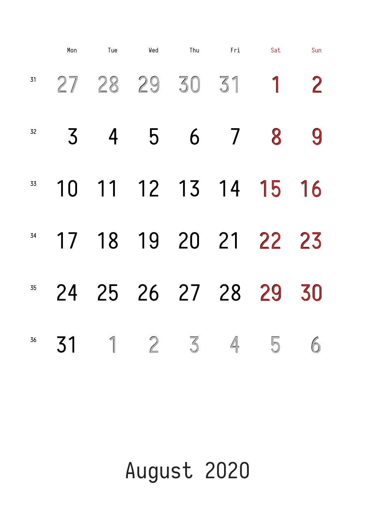## August 2020

   28   29   30   31    1    2     4    5    6    7   8    9     11   12   13   14   15   16      18   19   20   21   22   23   Mon Tue Wed Thu Fri Sat Sun 

#### 25   26   27   28   29   30       1    2 3    4    5    6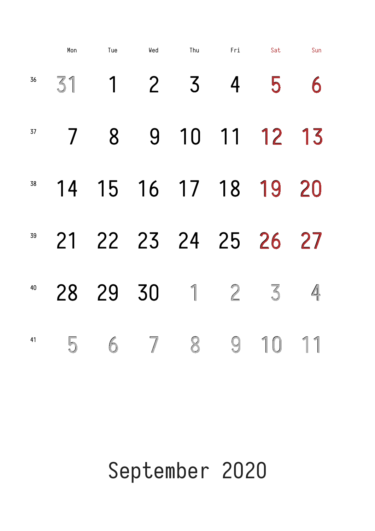### September 2020

<sup>36</sup> 31 1 2 3 4 5 6 7   8    9   10   11   12   13   <sup>38</sup> 14 15 16 17 18 19 20 21   22   23   24   25   26   27   Mon Tue Wed Thu Fri Sat Sun 37 39

#### 28 29 30 1 2 3 5    6    7   8    9   10   11 40 41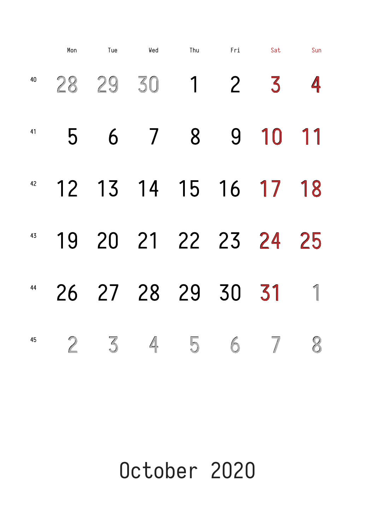### October 2020

   29   30    1    2 3    4       6    7   8    9   10   11      13   14   15   16   17   18      20   21   22   23   24   25   Mon Tue Wed Thu Fri Sat Sun 

#### 27   28   29   30   31    1        3    4    5    6    7   8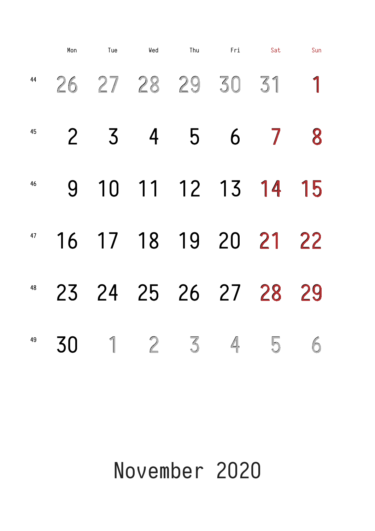### November 2020

|    | Mon | Tue                     | Wed | Thu | Fri | Sat | Sun |  |
|----|-----|-------------------------|-----|-----|-----|-----|-----|--|
|    |     | " 26 27 28 29 30 31 1   |     |     |     |     |     |  |
| 45 |     |                         |     | b   | 6   |     |     |  |
| 46 |     | 9 10 11 12 13 14 15     |     |     |     |     |     |  |
|    |     | 47 16 17 18 19 20 21 22 |     |     |     |     |     |  |

#### 24   25   26   27   28   29       1    2    3    4    5    6